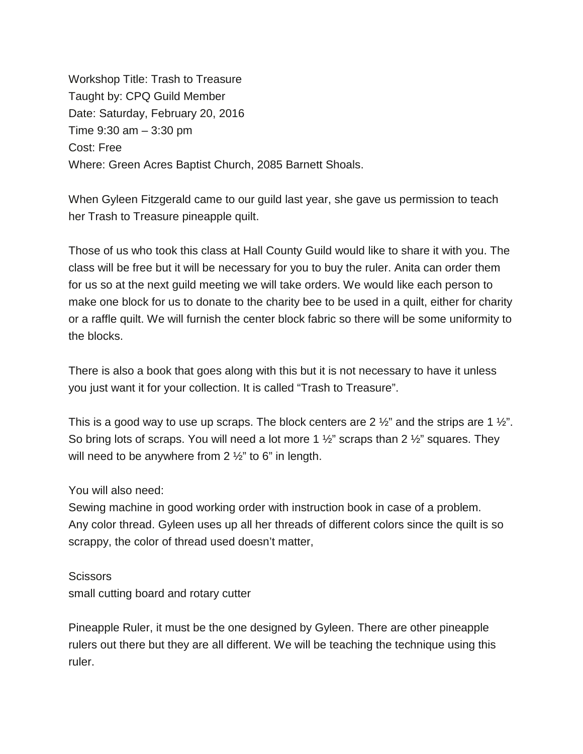Workshop Title: Trash to Treasure Taught by: CPQ Guild Member Date: Saturday, February 20, 2016 Time 9:30 am – 3:30 pm Cost: Free Where: Green Acres Baptist Church, 2085 Barnett Shoals.

When Gyleen Fitzgerald came to our guild last year, she gave us permission to teach her Trash to Treasure pineapple quilt.

Those of us who took this class at Hall County Guild would like to share it with you. The class will be free but it will be necessary for you to buy the ruler. Anita can order them for us so at the next guild meeting we will take orders. We would like each person to make one block for us to donate to the charity bee to be used in a quilt, either for charity or a raffle quilt. We will furnish the center block fabric so there will be some uniformity to the blocks.

There is also a book that goes along with this but it is not necessary to have it unless you just want it for your collection. It is called "Trash to Treasure".

This is a good way to use up scraps. The block centers are 2  $\frac{1}{2}$  and the strips are 1  $\frac{1}{2}$ . So bring lots of scraps. You will need a lot more 1  $\frac{1}{2}$ " scraps than 2  $\frac{1}{2}$ " squares. They will need to be anywhere from  $2\frac{1}{2}$ " to 6" in length.

You will also need:

Sewing machine in good working order with instruction book in case of a problem. Any color thread. Gyleen uses up all her threads of different colors since the quilt is so scrappy, the color of thread used doesn't matter,

**Scissors** 

small cutting board and rotary cutter

Pineapple Ruler, it must be the one designed by Gyleen. There are other pineapple rulers out there but they are all different. We will be teaching the technique using this ruler.